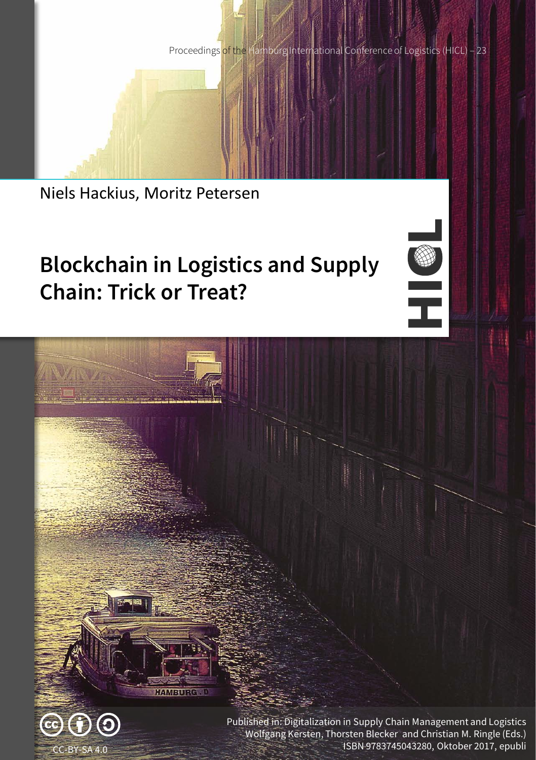Proceedings of the Hamburg International Conference of Logistics (HICL) - 23

Niels Hackius, Moritz Petersen

# **Blockchain in Logistics and Supply Chain: Trick or Treat?**

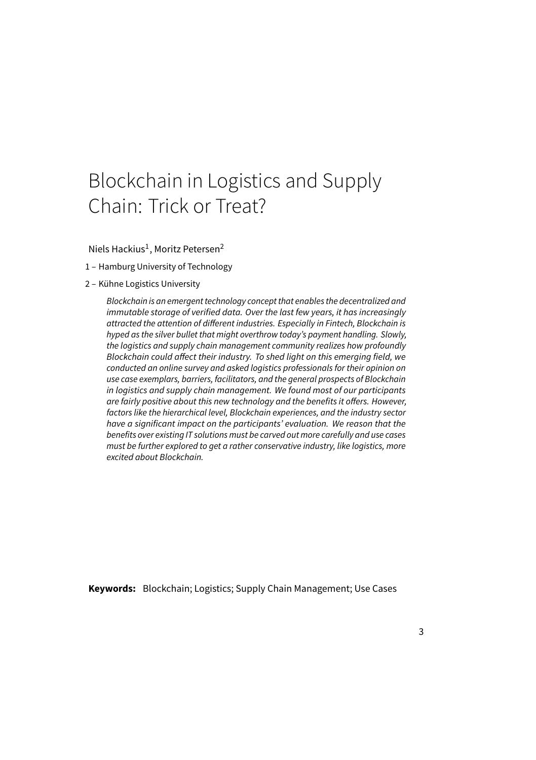## Blockchain in Logistics and Supply Chain: Trick or Treat?

Niels Hackius<sup>1</sup>, Moritz Petersen<sup>2</sup>

- 1 Hamburg University of Technology
- 2 Kühne Logistics University

Blockchain is an emergent technology concept that enables the decentralized and immutable storage of verified data. Over the last few years, it has increasingly attracted the attention of different industries. Especially in Fintech, Blockchain is hyped as the silver bullet that might overthrow today's payment handling. Slowly, the logistics and supply chain management community realizes how profoundly Blockchain could affect their industry. To shed light on this emerging field, we conducted an online survey and asked logistics professionals for their opinion on use case exemplars, barriers, facilitators, and the general prospects of Blockchain in logistics and supply chain management. We found most of our participants are fairly positive about this new technology and the benefits it offers. However, factors like the hierarchical level, Blockchain experiences, and the industry sector have a significant impact on the participants' evaluation. We reason that the benefits over existing IT solutions must be carved out more carefully and use cases must be further explored to get a rather conservative industry, like logistics, more excited about Blockchain.

**Keywords:** Blockchain; Logistics; Supply Chain Management; Use Cases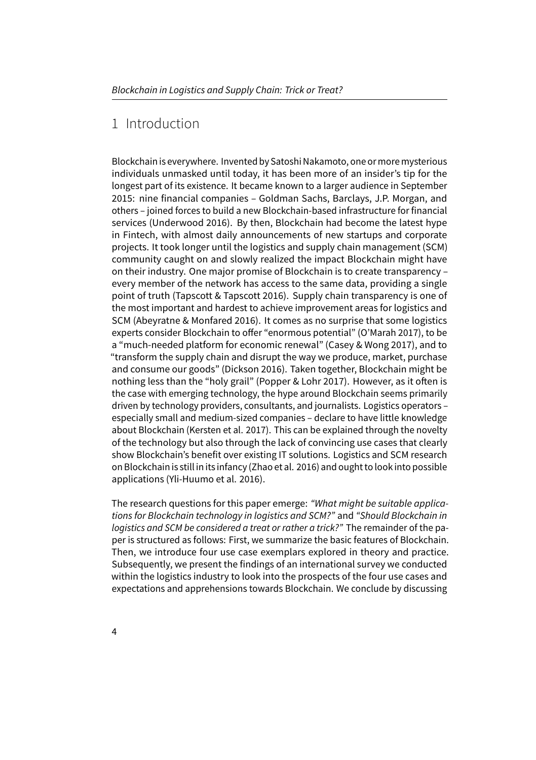## 1 Introduction

Blockchain is everywhere. Invented by Satoshi Nakamoto, one or more mysterious individuals unmasked until today, it has been more of an insider's tip for the longest part of its existence. It became known to a larger audience in September 2015: nine financial companies – Goldman Sachs, Barclays, J.P. Morgan, and others – joined forces to build a new Blockchain-based infrastructure for financial services (Underwood 2016). By then, Blockchain had become the latest hype in Fintech, with almost daily announcements of new startups and corporate projects. It took longer until the logistics and supply chain management (SCM) community caught on and slowly realized the impact Blockchain might have on their industry. One major promise of Blockchain is to create transparency – every member of the network has access to the same data, providing a single point of truth (Tapscott & Tapscott 2016). Supply chain transparency is one of the most important and hardest to achieve improvement areas for logistics and SCM (Abeyratne & Monfared 2016). It comes as no surprise that some logistics experts consider Blockchain to offer "enormous potential" (O'Marah 2017), to be a "much-needed platform for economic renewal" (Casey & Wong 2017), and to "transform the supply chain and disrupt the way we produce, market, purchase and consume our goods" (Dickson 2016). Taken together, Blockchain might be nothing less than the "holy grail" (Popper & Lohr 2017). However, as it often is the case with emerging technology, the hype around Blockchain seems primarily driven by technology providers, consultants, and journalists. Logistics operators – especially small and medium-sized companies – declare to have little knowledge about Blockchain (Kersten et al. 2017). This can be explained through the novelty of the technology but also through the lack of convincing use cases that clearly show Blockchain's benefit over existing IT solutions. Logistics and SCM research on Blockchain is still in its infancy (Zhao et al. 2016) and ought to look into possible applications (Yli-Huumo et al. 2016).

The research questions for this paper emerge: "What might be suitable applications for Blockchain technology in logistics and SCM?" and "Should Blockchain in logistics and SCM be considered a treat or rather a trick?" The remainder of the paper is structured as follows: First, we summarize the basic features of Blockchain. Then, we introduce four use case exemplars explored in theory and practice. Subsequently, we present the findings of an international survey we conducted within the logistics industry to look into the prospects of the four use cases and expectations and apprehensions towards Blockchain. We conclude by discussing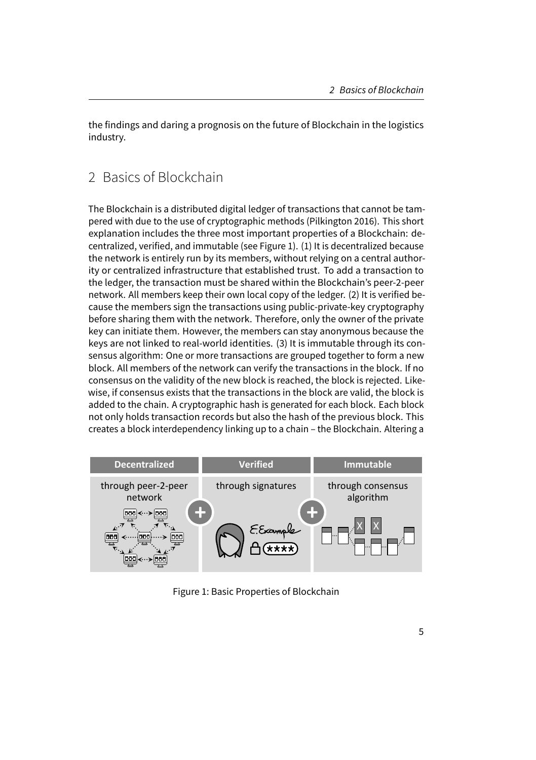the findings and daring a prognosis on the future of Blockchain in the logistics industry.

## 2 Basics of Blockchain

The Blockchain is a distributed digital ledger of transactions that cannot be tampered with due to the use of cryptographic methods (Pilkington 2016). This short explanation includes the three most important properties of a Blockchain: decentralized, verified, and immutable (see Figure 1). (1) It is decentralized because the network is entirely run by its members, without relying on a central authority or centralized infrastructure that established trust. To add a transaction to the ledger, the transaction must be shared within the Blockchain's peer-2-peer network. All members keep their own local copy of the ledger. (2) It is verified because the members sign the transactions using public-private-key cryptography before sharing them with the network. Therefore, only the owner of the private key can initiate them. However, the members can stay anonymous because the keys are not linked to real-world identities. (3) It is immutable through its consensus algorithm: One or more transactions are grouped together to form a new block. All members of the network can verify the transactions in the block. If no consensus on the validity of the new block is reached, the block is rejected. Likewise, if consensus exists that the transactions in the block are valid, the block is added to the chain. A cryptographic hash is generated for each block. Each block not only holds transaction records but also the hash of the previous block. This creates a block interdependency linking up to a chain – the Blockchain. Altering a



Figure 1: Basic Properties of Blockchain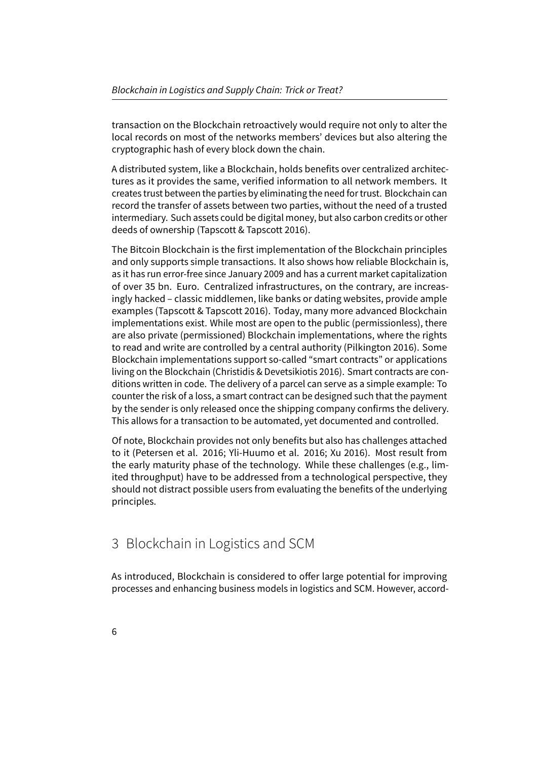transaction on the Blockchain retroactively would require not only to alter the local records on most of the networks members' devices but also altering the cryptographic hash of every block down the chain.

A distributed system, like a Blockchain, holds benefits over centralized architectures as it provides the same, verified information to all network members. It creates trust between the parties by eliminating the need for trust. Blockchain can record the transfer of assets between two parties, without the need of a trusted intermediary. Such assets could be digital money, but also carbon credits or other deeds of ownership (Tapscott & Tapscott 2016).

The Bitcoin Blockchain is the first implementation of the Blockchain principles and only supports simple transactions. It also shows how reliable Blockchain is, as it has run error-free since January 2009 and has a current market capitalization of over 35 bn. Euro. Centralized infrastructures, on the contrary, are increasingly hacked – classic middlemen, like banks or dating websites, provide ample examples (Tapscott & Tapscott 2016). Today, many more advanced Blockchain implementations exist. While most are open to the public (permissionless), there are also private (permissioned) Blockchain implementations, where the rights to read and write are controlled by a central authority (Pilkington 2016). Some Blockchain implementations support so-called "smart contracts" or applications living on the Blockchain (Christidis & Devetsikiotis 2016). Smart contracts are conditions written in code. The delivery of a parcel can serve as a simple example: To counter the risk of a loss, a smart contract can be designed such that the payment by the sender is only released once the shipping company confirms the delivery. This allows for a transaction to be automated, yet documented and controlled.

Of note, Blockchain provides not only benefits but also has challenges attached to it (Petersen et al. 2016; Yli-Huumo et al. 2016; Xu 2016). Most result from the early maturity phase of the technology. While these challenges (e.g., limited throughput) have to be addressed from a technological perspective, they should not distract possible users from evaluating the benefits of the underlying principles.

## 3 Blockchain in Logistics and SCM

As introduced, Blockchain is considered to offer large potential for improving processes and enhancing business models in logistics and SCM. However, accord-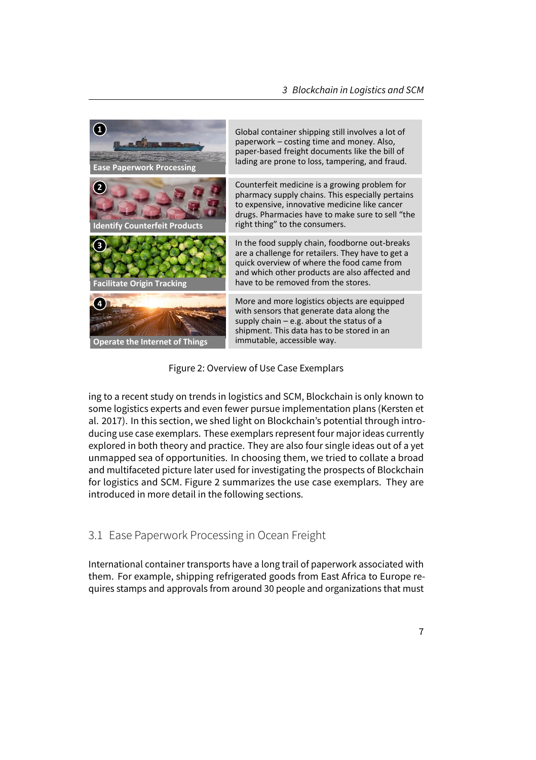

Figure 2: Overview of Use Case Exemplars

ing to a recent study on trends in logistics and SCM, Blockchain is only known to some logistics experts and even fewer pursue implementation plans (Kersten et al. 2017). In this section, we shed light on Blockchain's potential through introducing use case exemplars. These exemplars represent four major ideas currently explored in both theory and practice. They are also four single ideas out of a yet unmapped sea of opportunities. In choosing them, we tried to collate a broad and multifaceted picture later used for investigating the prospects of Blockchain for logistics and SCM. Figure 2 summarizes the use case exemplars. They are introduced in more detail in the following sections.

#### 3.1 Ease Paperwork Processing in Ocean Freight

International container transports have a long trail of paperwork associated with them. For example, shipping refrigerated goods from East Africa to Europe requires stamps and approvals from around 30 people and organizations that must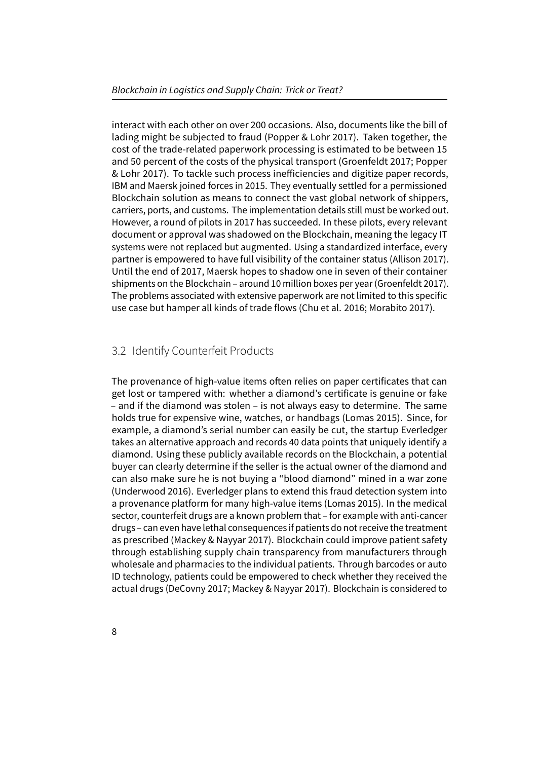interact with each other on over 200 occasions. Also, documents like the bill of lading might be subjected to fraud (Popper & Lohr 2017). Taken together, the cost of the trade-related paperwork processing is estimated to be between 15 and 50 percent of the costs of the physical transport (Groenfeldt 2017; Popper & Lohr 2017). To tackle such process inefficiencies and digitize paper records, IBM and Maersk joined forces in 2015. They eventually settled for a permissioned Blockchain solution as means to connect the vast global network of shippers, carriers, ports, and customs. The implementation details still must be worked out. However, a round of pilots in 2017 has succeeded. In these pilots, every relevant document or approval was shadowed on the Blockchain, meaning the legacy IT systems were not replaced but augmented. Using a standardized interface, every partner is empowered to have full visibility of the container status (Allison 2017). Until the end of 2017, Maersk hopes to shadow one in seven of their container shipments on the Blockchain – around 10 million boxes per year (Groenfeldt 2017). The problems associated with extensive paperwork are not limited to this specific use case but hamper all kinds of trade flows (Chu et al. 2016; Morabito 2017).

#### 3.2 Identify Counterfeit Products

The provenance of high-value items often relies on paper certificates that can get lost or tampered with: whether a diamond's certificate is genuine or fake – and if the diamond was stolen – is not always easy to determine. The same holds true for expensive wine, watches, or handbags (Lomas 2015). Since, for example, a diamond's serial number can easily be cut, the startup Everledger takes an alternative approach and records 40 data points that uniquely identify a diamond. Using these publicly available records on the Blockchain, a potential buyer can clearly determine if the seller is the actual owner of the diamond and can also make sure he is not buying a "blood diamond" mined in a war zone (Underwood 2016). Everledger plans to extend this fraud detection system into a provenance platform for many high-value items (Lomas 2015). In the medical sector, counterfeit drugs are a known problem that – for example with anti-cancer drugs – can even have lethal consequences if patients do not receive the treatment as prescribed (Mackey & Nayyar 2017). Blockchain could improve patient safety through establishing supply chain transparency from manufacturers through wholesale and pharmacies to the individual patients. Through barcodes or auto ID technology, patients could be empowered to check whether they received the actual drugs (DeCovny 2017; Mackey & Nayyar 2017). Blockchain is considered to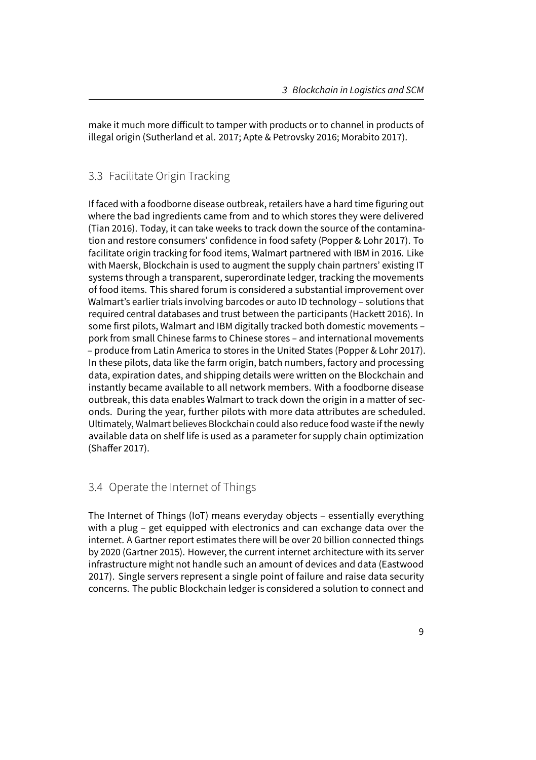make it much more difficult to tamper with products or to channel in products of illegal origin (Sutherland et al. 2017; Apte & Petrovsky 2016; Morabito 2017).

#### 3.3 Facilitate Origin Tracking

If faced with a foodborne disease outbreak, retailers have a hard time figuring out where the bad ingredients came from and to which stores they were delivered (Tian 2016). Today, it can take weeks to track down the source of the contamination and restore consumers' confidence in food safety (Popper & Lohr 2017). To facilitate origin tracking for food items, Walmart partnered with IBM in 2016. Like with Maersk, Blockchain is used to augment the supply chain partners' existing IT systems through a transparent, superordinate ledger, tracking the movements of food items. This shared forum is considered a substantial improvement over Walmart's earlier trials involving barcodes or auto ID technology – solutions that required central databases and trust between the participants (Hackett 2016). In some first pilots, Walmart and IBM digitally tracked both domestic movements – pork from small Chinese farms to Chinese stores – and international movements – produce from Latin America to stores in the United States (Popper & Lohr 2017). In these pilots, data like the farm origin, batch numbers, factory and processing data, expiration dates, and shipping details were written on the Blockchain and instantly became available to all network members. With a foodborne disease outbreak, this data enables Walmart to track down the origin in a matter of seconds. During the year, further pilots with more data attributes are scheduled. Ultimately, Walmart believes Blockchain could also reduce food waste if the newly available data on shelf life is used as a parameter for supply chain optimization (Shaffer 2017).

#### 3.4 Operate the Internet of Things

The Internet of Things (IoT) means everyday objects – essentially everything with a plug – get equipped with electronics and can exchange data over the internet. A Gartner report estimates there will be over 20 billion connected things by 2020 (Gartner 2015). However, the current internet architecture with its server infrastructure might not handle such an amount of devices and data (Eastwood 2017). Single servers represent a single point of failure and raise data security concerns. The public Blockchain ledger is considered a solution to connect and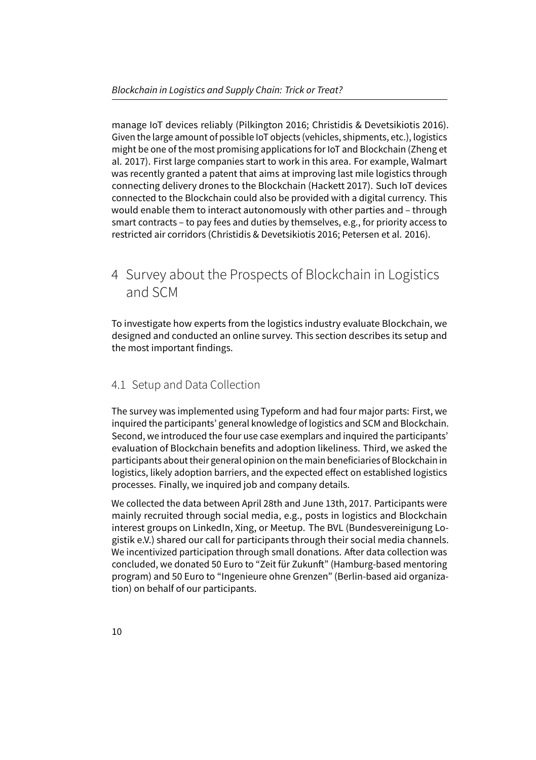manage IoT devices reliably (Pilkington 2016; Christidis & Devetsikiotis 2016). Given the large amount of possible IoT objects (vehicles, shipments, etc.), logistics might be one of the most promising applications for IoT and Blockchain (Zheng et al. 2017). First large companies start to work in this area. For example, Walmart was recently granted a patent that aims at improving last mile logistics through connecting delivery drones to the Blockchain (Hackett 2017). Such IoT devices connected to the Blockchain could also be provided with a digital currency. This would enable them to interact autonomously with other parties and – through smart contracts – to pay fees and duties by themselves, e.g., for priority access to restricted air corridors (Christidis & Devetsikiotis 2016; Petersen et al. 2016).

## 4 Survey about the Prospects of Blockchain in Logistics and SCM

To investigate how experts from the logistics industry evaluate Blockchain, we designed and conducted an online survey. This section describes its setup and the most important findings.

#### 4.1 Setup and Data Collection

The survey was implemented using Typeform and had four major parts: First, we inquired the participants' general knowledge of logistics and SCM and Blockchain. Second, we introduced the four use case exemplars and inquired the participants' evaluation of Blockchain benefits and adoption likeliness. Third, we asked the participants about their general opinion on the main beneficiaries of Blockchain in logistics, likely adoption barriers, and the expected effect on established logistics processes. Finally, we inquired job and company details.

We collected the data between April 28th and June 13th, 2017. Participants were mainly recruited through social media, e.g., posts in logistics and Blockchain interest groups on LinkedIn, Xing, or Meetup. The BVL (Bundesvereinigung Logistik e.V.) shared our call for participants through their social media channels. We incentivized participation through small donations. After data collection was concluded, we donated 50 Euro to "Zeit für Zukunft" (Hamburg-based mentoring program) and 50 Euro to "Ingenieure ohne Grenzen" (Berlin-based aid organization) on behalf of our participants.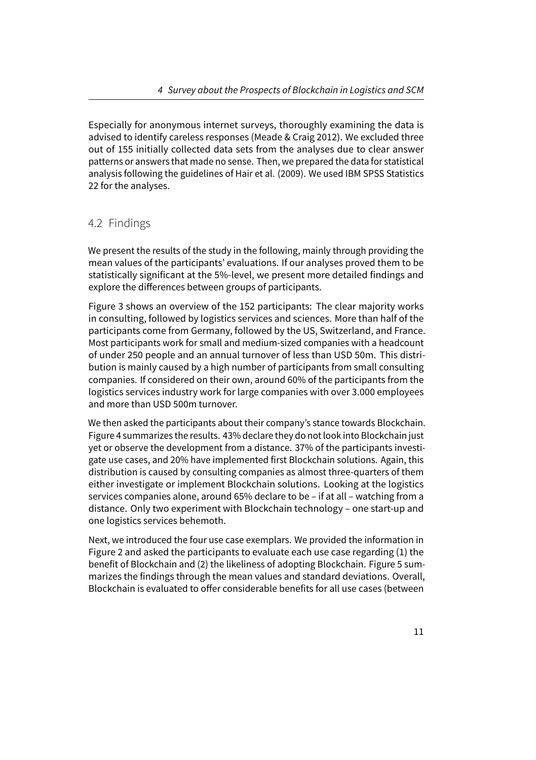Especially for anonymous internet surveys, thoroughly examining the data is advised to identify careless responses (Meade & Craig 2012). We excluded three out of 155 initially collected data sets from the analyses due to clear answer patterns or answers that made no sense. Then, we prepared the data for statistical analysis following the guidelines of Hair et al. (2009). We used IBM SPSS Statistics 22 for the analyses.

#### 4.2 Findings

We present the results of the study in the following, mainly through providing the mean values of the participants' evaluations. If our analyses proved them to be statistically significant at the 5%-level, we present more detailed findings and explore the differences between groups of participants.

Figure 3 shows an overview of the 152 participants: The clear majority works in consulting, followed by logistics services and sciences. More than half of the participants come from Germany, followed by the US, Switzerland, and France. Most participants work for small and medium-sized companies with a headcount of under 250 people and an annual turnover of less than USD 50m. This distribution is mainly caused by a high number of participants from small consulting companies. If considered on their own, around 60% of the participants from the logistics services industry work for large companies with over 3.000 employees and more than USD 500m turnover.

We then asked the participants about their company's stance towards Blockchain. Figure 4 summarizes the results. 43% declare they do not look into Blockchain just yet or observe the development from a distance. 37% of the participants investigate use cases, and 20% have implemented first Blockchain solutions. Again, this distribution is caused by consulting companies as almost three-quarters of them either investigate or implement Blockchain solutions. Looking at the logistics services companies alone, around 65% declare to be – if at all – watching from a distance. Only two experiment with Blockchain technology – one start-up and one logistics services behemoth.

Next, we introduced the four use case exemplars. We provided the information in Figure 2 and asked the participants to evaluate each use case regarding (1) the benefit of Blockchain and (2) the likeliness of adopting Blockchain. Figure 5 summarizes the findings through the mean values and standard deviations. Overall, Blockchain is evaluated to offer considerable benefits for all use cases (between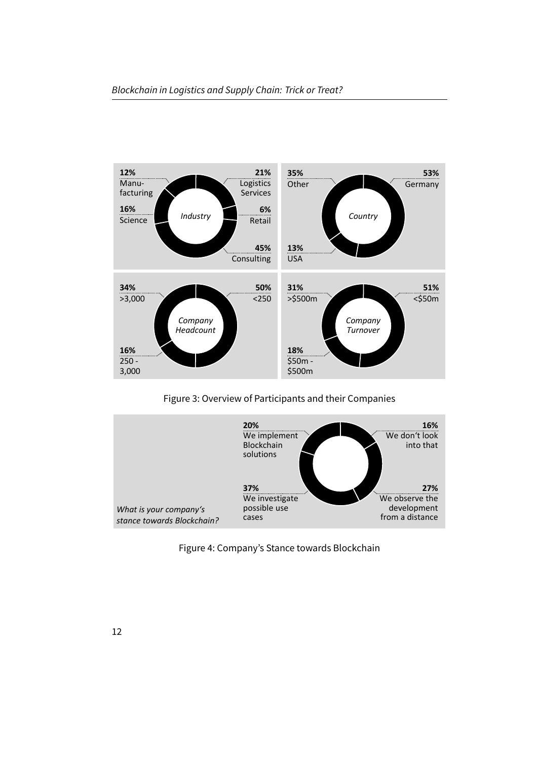

Figure 3: Overview of Participants and their Companies



Figure 4: Company's Stance towards Blockchain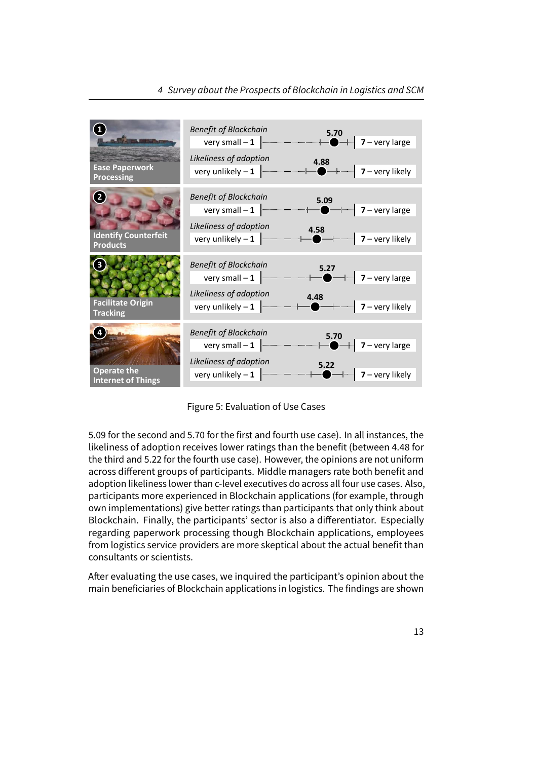

Figure 5: Evaluation of Use Cases

5.09 for the second and 5.70 for the first and fourth use case). In all instances, the likeliness of adoption receives lower ratings than the benefit (between 4.48 for the third and 5.22 for the fourth use case). However, the opinions are not uniform across different groups of participants. Middle managers rate both benefit and adoption likeliness lower than c-level executives do across all four use cases. Also, participants more experienced in Blockchain applications (for example, through own implementations) give better ratings than participants that only think about Blockchain. Finally, the participants' sector is also a differentiator. Especially regarding paperwork processing though Blockchain applications, employees from logistics service providers are more skeptical about the actual benefit than consultants or scientists.

After evaluating the use cases, we inquired the participant's opinion about the main beneficiaries of Blockchain applications in logistics. The findings are shown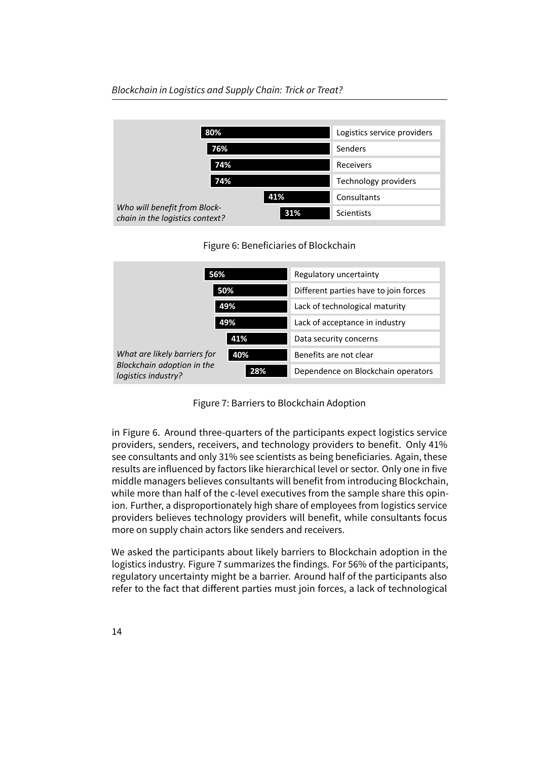#### Blockchain in Logistics and Supply Chain: Trick or Treat?

| 80%                                                             |     | Logistics service providers |
|-----------------------------------------------------------------|-----|-----------------------------|
| 76%                                                             |     | Senders                     |
| 74%                                                             |     | Receivers                   |
| 74%                                                             |     | <b>Technology providers</b> |
|                                                                 | 41% | Consultants                 |
| Who will benefit from Block-<br>chain in the logistics context? | 31% | <b>Scientists</b>           |

| 56%                                                                               |     | Regulatory uncertainty                |  |
|-----------------------------------------------------------------------------------|-----|---------------------------------------|--|
| 50%<br>49%<br>49%                                                                 |     | Different parties have to join forces |  |
|                                                                                   |     | Lack of technological maturity        |  |
|                                                                                   |     | Lack of acceptance in industry        |  |
|                                                                                   | 41% | Data security concerns                |  |
| What are likely barriers for<br>Blockchain adoption in the<br>logistics industry? | 40% | Benefits are not clear                |  |
|                                                                                   | 28% | Dependence on Blockchain operators    |  |

Figure 7: Barriers to Blockchain Adoption

in Figure 6. Around three-quarters of the participants expect logistics service providers, senders, receivers, and technology providers to benefit. Only 41% see consultants and only 31% see scientists as being beneficiaries. Again, these results are influenced by factors like hierarchical level or sector. Only one in five middle managers believes consultants will benefit from introducing Blockchain, while more than half of the c-level executives from the sample share this opinion. Further, a disproportionately high share of employees from logistics service providers believes technology providers will benefit, while consultants focus more on supply chain actors like senders and receivers.

We asked the participants about likely barriers to Blockchain adoption in the logistics industry. Figure 7 summarizes the findings. For 56% of the participants, regulatory uncertainty might be a barrier. Around half of the participants also refer to the fact that different parties must join forces, a lack of technological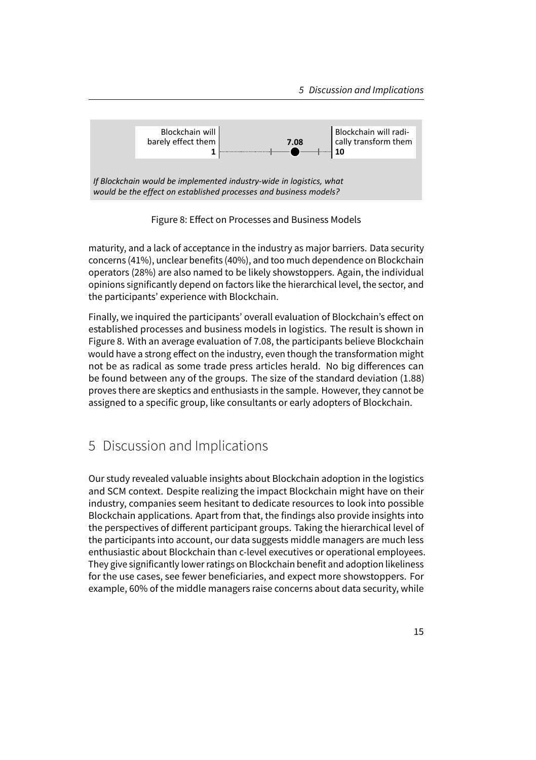

Figure 8: Effect on Processes and Business Models

maturity, and a lack of acceptance in the industry as major barriers. Data security concerns (41%), unclear benefits (40%), and too much dependence on Blockchain operators (28%) are also named to be likely showstoppers. Again, the individual opinions significantly depend on factors like the hierarchical level, the sector, and the participants' experience with Blockchain.

Finally, we inquired the participants' overall evaluation of Blockchain's effect on established processes and business models in logistics. The result is shown in Figure 8. With an average evaluation of 7.08, the participants believe Blockchain would have a strong effect on the industry, even though the transformation might not be as radical as some trade press articles herald. No big differences can be found between any of the groups. The size of the standard deviation (1.88) proves there are skeptics and enthusiasts in the sample. However, they cannot be assigned to a specific group, like consultants or early adopters of Blockchain.

## 5 Discussion and Implications

Our study revealed valuable insights about Blockchain adoption in the logistics and SCM context. Despite realizing the impact Blockchain might have on their industry, companies seem hesitant to dedicate resources to look into possible Blockchain applications. Apart from that, the findings also provide insights into the perspectives of different participant groups. Taking the hierarchical level of the participants into account, our data suggests middle managers are much less enthusiastic about Blockchain than c-level executives or operational employees. They give significantly lower ratings on Blockchain benefit and adoption likeliness for the use cases, see fewer beneficiaries, and expect more showstoppers. For example, 60% of the middle managers raise concerns about data security, while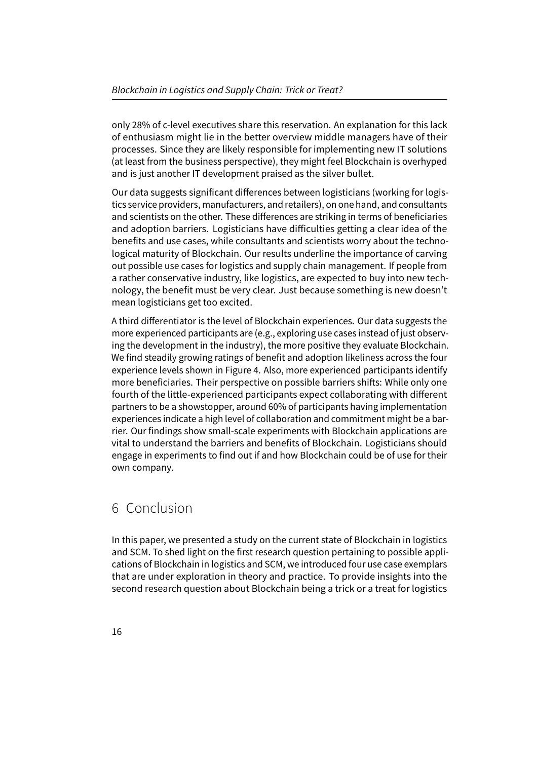only 28% of c-level executives share this reservation. An explanation for this lack of enthusiasm might lie in the better overview middle managers have of their processes. Since they are likely responsible for implementing new IT solutions (at least from the business perspective), they might feel Blockchain is overhyped and is just another IT development praised as the silver bullet.

Our data suggests significant differences between logisticians (working for logistics service providers, manufacturers, and retailers), on one hand, and consultants and scientists on the other. These differences are striking in terms of beneficiaries and adoption barriers. Logisticians have difficulties getting a clear idea of the benefits and use cases, while consultants and scientists worry about the technological maturity of Blockchain. Our results underline the importance of carving out possible use cases for logistics and supply chain management. If people from a rather conservative industry, like logistics, are expected to buy into new technology, the benefit must be very clear. Just because something is new doesn't mean logisticians get too excited.

A third differentiator is the level of Blockchain experiences. Our data suggests the more experienced participants are (e.g., exploring use cases instead of just observing the development in the industry), the more positive they evaluate Blockchain. We find steadily growing ratings of benefit and adoption likeliness across the four experience levels shown in Figure 4. Also, more experienced participants identify more beneficiaries. Their perspective on possible barriers shifts: While only one fourth of the little-experienced participants expect collaborating with different partners to be a showstopper, around 60% of participants having implementation experiences indicate a high level of collaboration and commitment might be a barrier. Our findings show small-scale experiments with Blockchain applications are vital to understand the barriers and benefits of Blockchain. Logisticians should engage in experiments to find out if and how Blockchain could be of use for their own company.

## 6 Conclusion

In this paper, we presented a study on the current state of Blockchain in logistics and SCM. To shed light on the first research question pertaining to possible applications of Blockchain in logistics and SCM, we introduced four use case exemplars that are under exploration in theory and practice. To provide insights into the second research question about Blockchain being a trick or a treat for logistics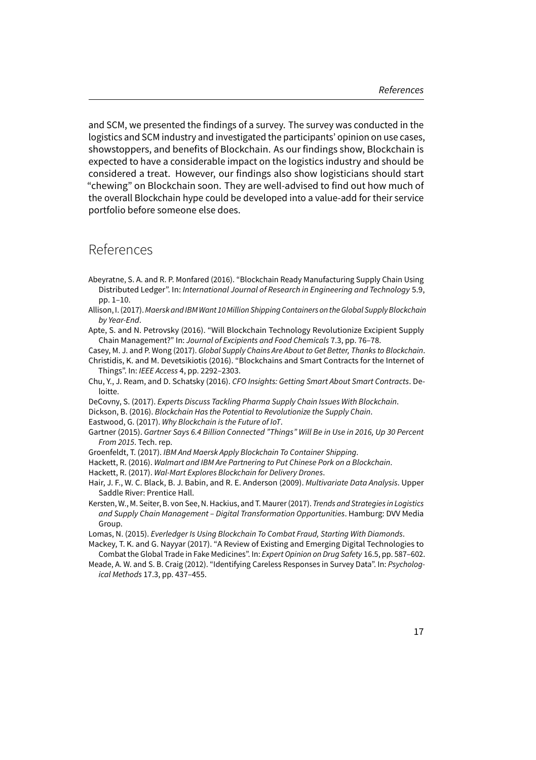and SCM, we presented the findings of a survey. The survey was conducted in the logistics and SCM industry and investigated the participants' opinion on use cases, showstoppers, and benefits of Blockchain. As our findings show, Blockchain is expected to have a considerable impact on the logistics industry and should be considered a treat. However, our findings also show logisticians should start "chewing" on Blockchain soon. They are well-advised to find out how much of the overall Blockchain hype could be developed into a value-add for their service portfolio before someone else does.

### References

- Abeyratne, S. A. and R. P. Monfared (2016). "Blockchain Ready Manufacturing Supply Chain Using Distributed Ledger". In: International Journal of Research in Engineering and Technology 5.9, pp. 1–10.
- Allison, I. (2017). Maersk and IBM Want 10 Million Shipping Containers on the Global Supply Blockchain by Year-End.

Apte, S. and N. Petrovsky (2016). "Will Blockchain Technology Revolutionize Excipient Supply Chain Management?" In: Journal of Excipients and Food Chemicals 7.3, pp. 76–78.

Casey, M. J. and P. Wong (2017). Global Supply Chains Are About to Get Better, Thanks to Blockchain. Christidis, K. and M. Devetsikiotis (2016). "Blockchains and Smart Contracts for the Internet of Things". In: IEEE Access 4, pp. 2292–2303.

Chu, Y., J. Ream, and D. Schatsky (2016). CFO Insights: Getting Smart About Smart Contracts. Deloitte.

DeCovny, S. (2017). Experts Discuss Tackling Pharma Supply Chain Issues With Blockchain.

Dickson, B. (2016). Blockchain Has the Potential to Revolutionize the Supply Chain.

Eastwood, G. (2017). Why Blockchain is the Future of IoT.

- Gartner (2015). Gartner Says 6.4 Billion Connected "Things" Will Be in Use in 2016, Up 30 Percent From 2015. Tech. rep.
- Groenfeldt, T. (2017). IBM And Maersk Apply Blockchain To Container Shipping.
- Hackett, R. (2016). Walmart and IBM Are Partnering to Put Chinese Pork on a Blockchain.

Hackett, R. (2017). Wal-Mart Explores Blockchain for Delivery Drones.

- Hair, J. F., W. C. Black, B. J. Babin, and R. E. Anderson (2009). Multivariate Data Analysis. Upper Saddle River: Prentice Hall.
- Kersten, W., M. Seiter, B. von See, N. Hackius, and T. Maurer (2017). Trends and Strategies in Logistics and Supply Chain Management – Digital Transformation Opportunities. Hamburg: DVV Media Group.

Lomas, N. (2015). Everledger Is Using Blockchain To Combat Fraud, Starting With Diamonds.

Mackey, T. K. and G. Nayyar (2017). "A Review of Existing and Emerging Digital Technologies to Combat the Global Trade in Fake Medicines". In: Expert Opinion on Drug Safety 16.5, pp. 587–602.

Meade, A. W. and S. B. Craig (2012). "Identifying Careless Responses in Survey Data". In: Psychological Methods 17.3, pp. 437–455.